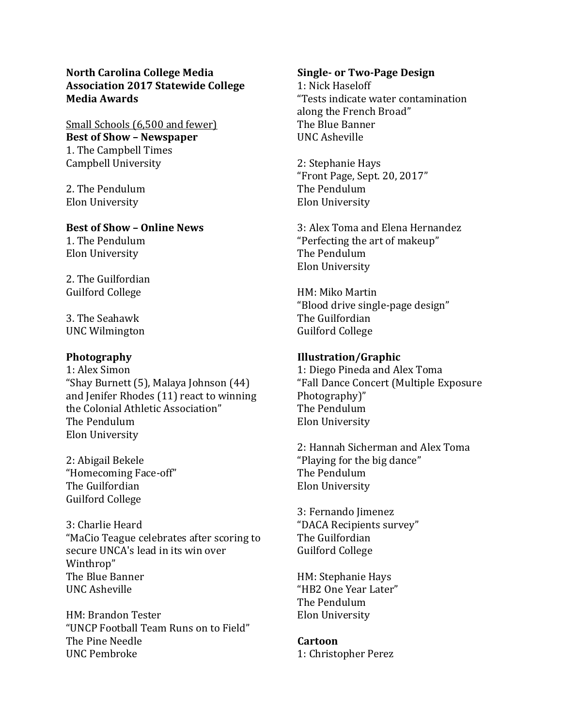## **North Carolina College Media Association 2017 Statewide College Media Awards**

Small Schools (6,500 and fewer) **Best of Show – Newspaper** 1. The Campbell Times Campbell University

2. The Pendulum Elon University

#### **Best of Show – Online News**

1. The Pendulum Elon University

2. The Guilfordian Guilford College

3. The Seahawk UNC Wilmington

## **Photography**

1: Alex Simon "Shay Burnett (5), Malaya Johnson (44) and Jenifer Rhodes (11) react to winning the Colonial Athletic Association" The Pendulum Elon University

2: Abigail Bekele "Homecoming Face-off" The Guilfordian Guilford College

3: Charlie Heard "MaCio Teague celebrates after scoring to secure UNCA's lead in its win over Winthrop" The Blue Banner UNC Asheville

HM: Brandon Tester "UNCP Football Team Runs on to Field" The Pine Needle UNC Pembroke

#### **Single- or Two-Page Design**

1: Nick Haseloff "Tests indicate water contamination along the French Broad" The Blue Banner UNC Asheville

2: Stephanie Hays "Front Page, Sept. 20, 2017" The Pendulum Elon University

3: Alex Toma and Elena Hernandez "Perfecting the art of makeup" The Pendulum Elon University

HM: Miko Martin "Blood drive single-page design" The Guilfordian Guilford College

## **Illustration/Graphic**

1: Diego Pineda and Alex Toma "Fall Dance Concert (Multiple Exposure Photography)" The Pendulum Elon University

2: Hannah Sicherman and Alex Toma "Playing for the big dance" The Pendulum Elon University

3: Fernando Jimenez "DACA Recipients survey" The Guilfordian Guilford College

HM: Stephanie Hays "HB2 One Year Later" The Pendulum Elon University

## **Cartoon**

1: Christopher Perez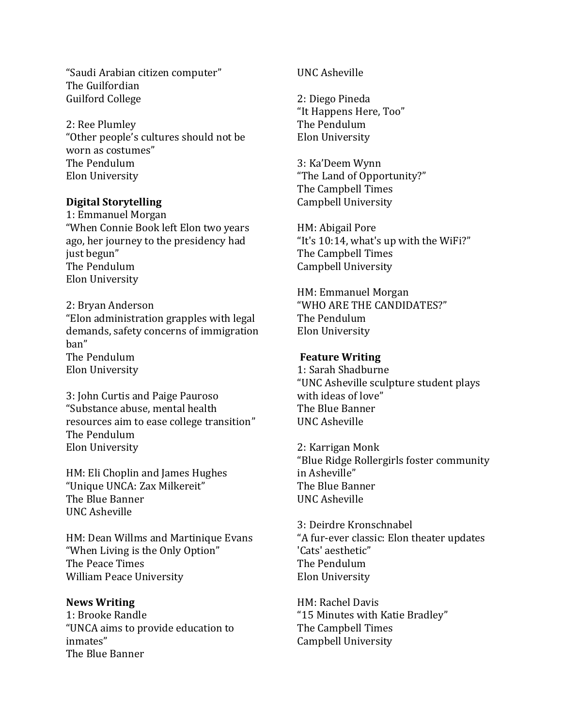"Saudi Arabian citizen computer" The Guilfordian Guilford College

2: Ree Plumley "Other people's cultures should not be worn as costumes" The Pendulum Elon University

## **Digital Storytelling**

1: Emmanuel Morgan "When Connie Book left Elon two years ago, her journey to the presidency had just begun" The Pendulum Elon University

2: Bryan Anderson "Elon administration grapples with legal demands, safety concerns of immigration ban" The Pendulum Elon University

3: John Curtis and Paige Pauroso "Substance abuse, mental health resources aim to ease college transition" The Pendulum Elon University

HM: Eli Choplin and James Hughes "Unique UNCA: Zax Milkereit" The Blue Banner UNC Asheville

HM: Dean Willms and Martinique Evans "When Living is the Only Option" The Peace Times William Peace University

# **News Writing**

1: Brooke Randle "UNCA aims to provide education to inmates" The Blue Banner

UNC Asheville

2: Diego Pineda "It Happens Here, Too" The Pendulum Elon University

3: Ka'Deem Wynn "The Land of Opportunity?" The Campbell Times Campbell University

HM: Abigail Pore "It's 10:14, what's up with the WiFi?" The Campbell Times Campbell University

HM: Emmanuel Morgan "WHO ARE THE CANDIDATES?" The Pendulum Elon University

## **Feature Writing**

1: Sarah Shadburne "UNC Asheville sculpture student plays with ideas of love" The Blue Banner UNC Asheville

2: Karrigan Monk "Blue Ridge Rollergirls foster community in Asheville" The Blue Banner UNC Asheville

3: Deirdre Kronschnabel "A fur-ever classic: Elon theater updates 'Cats' aesthetic" The Pendulum Elon University

HM: Rachel Davis "15 Minutes with Katie Bradley" The Campbell Times Campbell University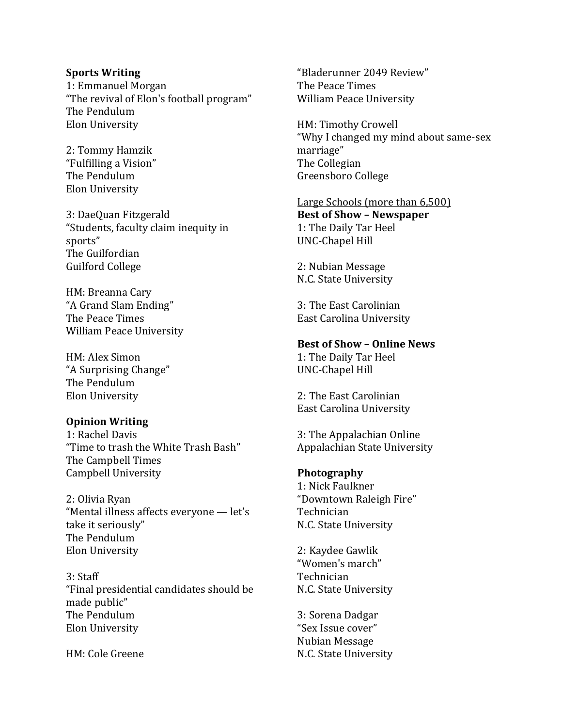#### **Sports Writing**

1: Emmanuel Morgan "The revival of Elon's football program" The Pendulum Elon University

2: Tommy Hamzik "Fulfilling a Vision" The Pendulum Elon University

3: DaeQuan Fitzgerald "Students, faculty claim inequity in sports" The Guilfordian Guilford College

HM: Breanna Cary "A Grand Slam Ending" The Peace Times William Peace University

HM: Alex Simon "A Surprising Change" The Pendulum Elon University

#### **Opinion Writing**

1: Rachel Davis "Time to trash the White Trash Bash" The Campbell Times Campbell University

2: Olivia Ryan "Mental illness affects everyone — let's take it seriously" The Pendulum Elon University

3: Staff "Final presidential candidates should be made public" The Pendulum Elon University

HM: Cole Greene

"Bladerunner 2049 Review" The Peace Times William Peace University

HM: Timothy Crowell "Why I changed my mind about same-sex marriage" The Collegian Greensboro College

Large Schools (more than 6,500) **Best of Show – Newspaper**  1: The Daily Tar Heel UNC-Chapel Hill

2: Nubian Message N.C. State University

3: The East Carolinian East Carolina University

**Best of Show – Online News** 

1: The Daily Tar Heel UNC-Chapel Hill

2: The East Carolinian East Carolina University

3: The Appalachian Online Appalachian State University

## **Photography**

1: Nick Faulkner "Downtown Raleigh Fire" Technician N.C. State University

2: Kaydee Gawlik "Women's march" Technician N.C. State University

3: Sorena Dadgar "Sex Issue cover" Nubian Message N.C. State University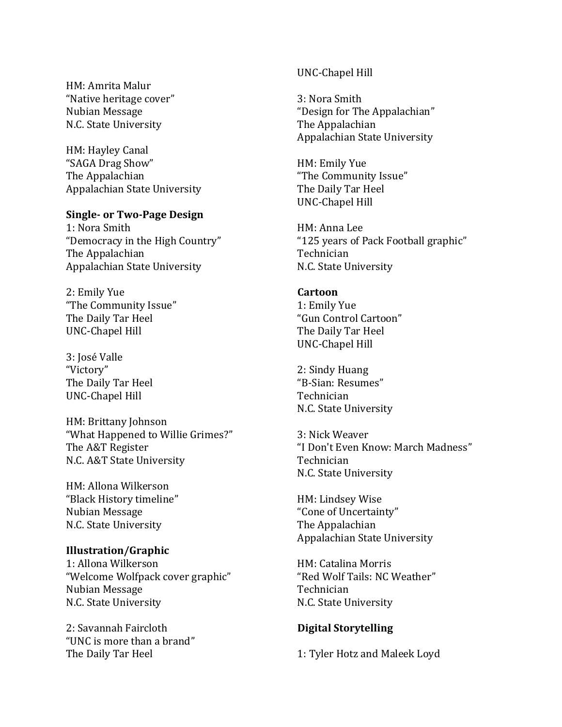HM: Amrita Malur "Native heritage cover" Nubian Message N.C. State University

HM: Hayley Canal "SAGA Drag Show" The Appalachian Appalachian State University

#### **Single- or Two-Page Design**

1: Nora Smith "Democracy in the High Country" The Appalachian Appalachian State University

2: Emily Yue "The Community Issue" The Daily Tar Heel UNC-Chapel Hill

3: José Valle "Victory" The Daily Tar Heel UNC-Chapel Hill

HM: Brittany Johnson "What Happened to Willie Grimes?" The A&T Register N.C. A&T State University

HM: Allona Wilkerson "Black History timeline" Nubian Message N.C. State University

#### **Illustration/Graphic**

1: Allona Wilkerson "Welcome Wolfpack cover graphic" Nubian Message N.C. State University

2: Savannah Faircloth "UNC is more than a brand" The Daily Tar Heel

#### UNC-Chapel Hill

3: Nora Smith "Design for The Appalachian" The Appalachian Appalachian State University

HM: Emily Yue "The Community Issue" The Daily Tar Heel UNC-Chapel Hill

HM: Anna Lee "125 years of Pack Football graphic" Technician N.C. State University

### **Cartoon**

1: Emily Yue "Gun Control Cartoon" The Daily Tar Heel UNC-Chapel Hill

2: Sindy Huang "B-Sian: Resumes" Technician N.C. State University

3: Nick Weaver "I Don't Even Know: March Madness" Technician N.C. State University

HM: Lindsey Wise "Cone of Uncertainty" The Appalachian Appalachian State University

HM: Catalina Morris "Red Wolf Tails: NC Weather" Technician N.C. State University

#### **Digital Storytelling**

1: Tyler Hotz and Maleek Loyd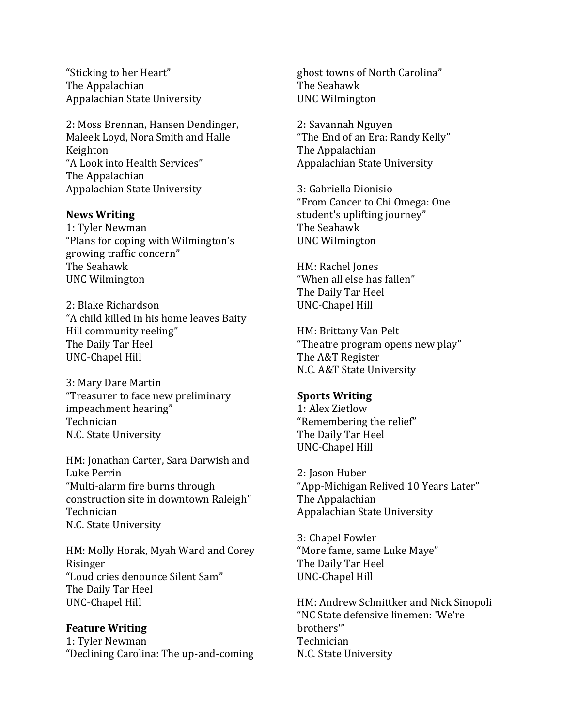"Sticking to her Heart" The Appalachian Appalachian State University

2: Moss Brennan, Hansen Dendinger, Maleek Loyd, Nora Smith and Halle Keighton "A Look into Health Services" The Appalachian Appalachian State University

#### **News Writing**

1: Tyler Newman "Plans for coping with Wilmington's growing traffic concern" The Seahawk UNC Wilmington

2: Blake Richardson "A child killed in his home leaves Baity Hill community reeling" The Daily Tar Heel UNC-Chapel Hill

3: Mary Dare Martin "Treasurer to face new preliminary impeachment hearing" Technician N.C. State University

HM: Jonathan Carter, Sara Darwish and Luke Perrin "Multi-alarm fire burns through construction site in downtown Raleigh" Technician N.C. State University

HM: Molly Horak, Myah Ward and Corey Risinger "Loud cries denounce Silent Sam" The Daily Tar Heel UNC-Chapel Hill

**Feature Writing** 1: Tyler Newman "Declining Carolina: The up-and-coming ghost towns of North Carolina" The Seahawk UNC Wilmington

2: Savannah Nguyen "The End of an Era: Randy Kelly" The Appalachian Appalachian State University

3: Gabriella Dionisio "From Cancer to Chi Omega: One student's uplifting journey" The Seahawk UNC Wilmington

HM: Rachel Jones "When all else has fallen" The Daily Tar Heel UNC-Chapel Hill

HM: Brittany Van Pelt "Theatre program opens new play" The A&T Register N.C. A&T State University

### **Sports Writing**

1: Alex Zietlow "Remembering the relief" The Daily Tar Heel UNC-Chapel Hill

2: Jason Huber "App-Michigan Relived 10 Years Later" The Appalachian Appalachian State University

3: Chapel Fowler "More fame, same Luke Maye" The Daily Tar Heel UNC-Chapel Hill

HM: Andrew Schnittker and Nick Sinopoli "NC State defensive linemen: 'We're brothers'" Technician N.C. State University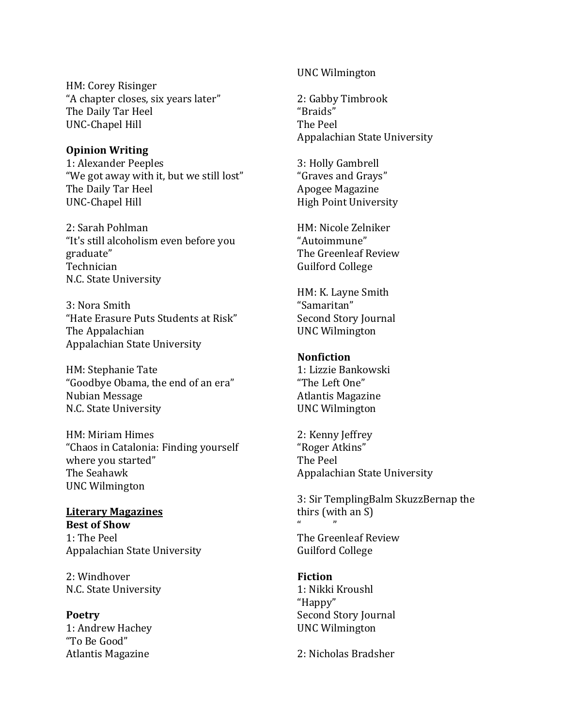HM: Corey Risinger "A chapter closes, six years later" The Daily Tar Heel UNC-Chapel Hill

## **Opinion Writing**

1: Alexander Peeples "We got away with it, but we still lost" The Daily Tar Heel UNC-Chapel Hill

2: Sarah Pohlman "It's still alcoholism even before you graduate" Technician N.C. State University

3: Nora Smith "Hate Erasure Puts Students at Risk" The Appalachian Appalachian State University

HM: Stephanie Tate "Goodbye Obama, the end of an era" Nubian Message N.C. State University

HM: Miriam Himes "Chaos in Catalonia: Finding yourself where you started" The Seahawk UNC Wilmington

## **Literary Magazines Best of Show** 1: The Peel Appalachian State University

2: Windhover N.C. State University

**Poetry** 1: Andrew Hachey "To Be Good" Atlantis Magazine

## UNC Wilmington

2: Gabby Timbrook "Braids" The Peel Appalachian State University

3: Holly Gambrell "Graves and Grays" Apogee Magazine High Point University

HM: Nicole Zelniker "Autoimmune" The Greenleaf Review Guilford College

HM: K. Layne Smith "Samaritan" Second Story Journal UNC Wilmington

## **Nonfiction**

1: Lizzie Bankowski "The Left One" Atlantis Magazine UNC Wilmington

2: Kenny Jeffrey "Roger Atkins" The Peel Appalachian State University

3: Sir TemplingBalm SkuzzBernap the thirs (with an S)  $\mathbf{u}$   $\mathbf{v}$ 

The Greenleaf Review Guilford College

## **Fiction** 1: Nikki Kroushl "Happy" Second Story Journal UNC Wilmington

2: Nicholas Bradsher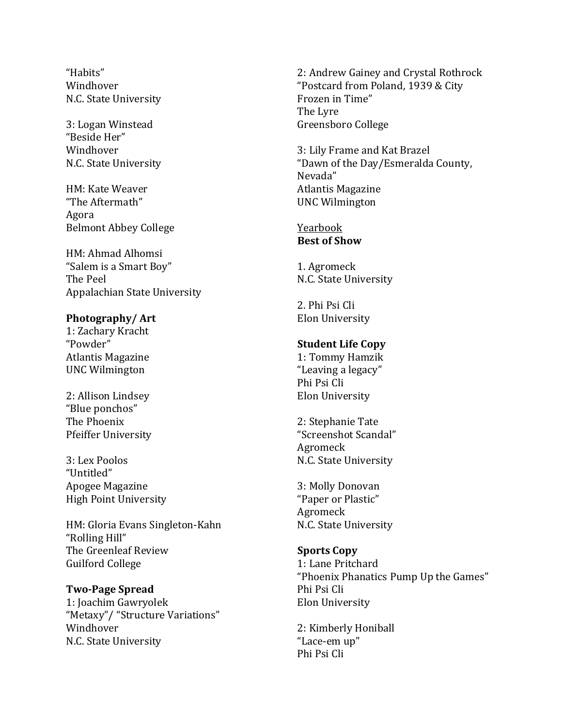"Habits" Windhover N.C. State University

3: Logan Winstead "Beside Her" Windhover N.C. State University

HM: Kate Weaver "The Aftermath" Agora Belmont Abbey College

HM: Ahmad Alhomsi "Salem is a Smart Boy" The Peel Appalachian State University

## **Photography/ Art**

1: Zachary Kracht "Powder" Atlantis Magazine UNC Wilmington

2: Allison Lindsey "Blue ponchos" The Phoenix Pfeiffer University

3: Lex Poolos "Untitled" Apogee Magazine High Point University

HM: Gloria Evans Singleton-Kahn "Rolling Hill" The Greenleaf Review Guilford College

## **Two-Page Spread**

1: Joachim Gawryolek "Metaxy"/ "Structure Variations" Windhover N.C. State University

2: Andrew Gainey and Crystal Rothrock "Postcard from Poland, 1939 & City Frozen in Time" The Lyre Greensboro College

3: Lily Frame and Kat Brazel "Dawn of the Day/Esmeralda County, Nevada" Atlantis Magazine UNC Wilmington

### Yearbook **Best of Show**

1. Agromeck N.C. State University

2. Phi Psi Cli Elon University

## **Student Life Copy**

1: Tommy Hamzik "Leaving a legacy" Phi Psi Cli Elon University

2: Stephanie Tate "Screenshot Scandal" Agromeck N.C. State University

3: Molly Donovan "Paper or Plastic" Agromeck N.C. State University

## **Sports Copy**

1: Lane Pritchard "Phoenix Phanatics Pump Up the Games" Phi Psi Cli Elon University

2: Kimberly Honiball "Lace-em up" Phi Psi Cli